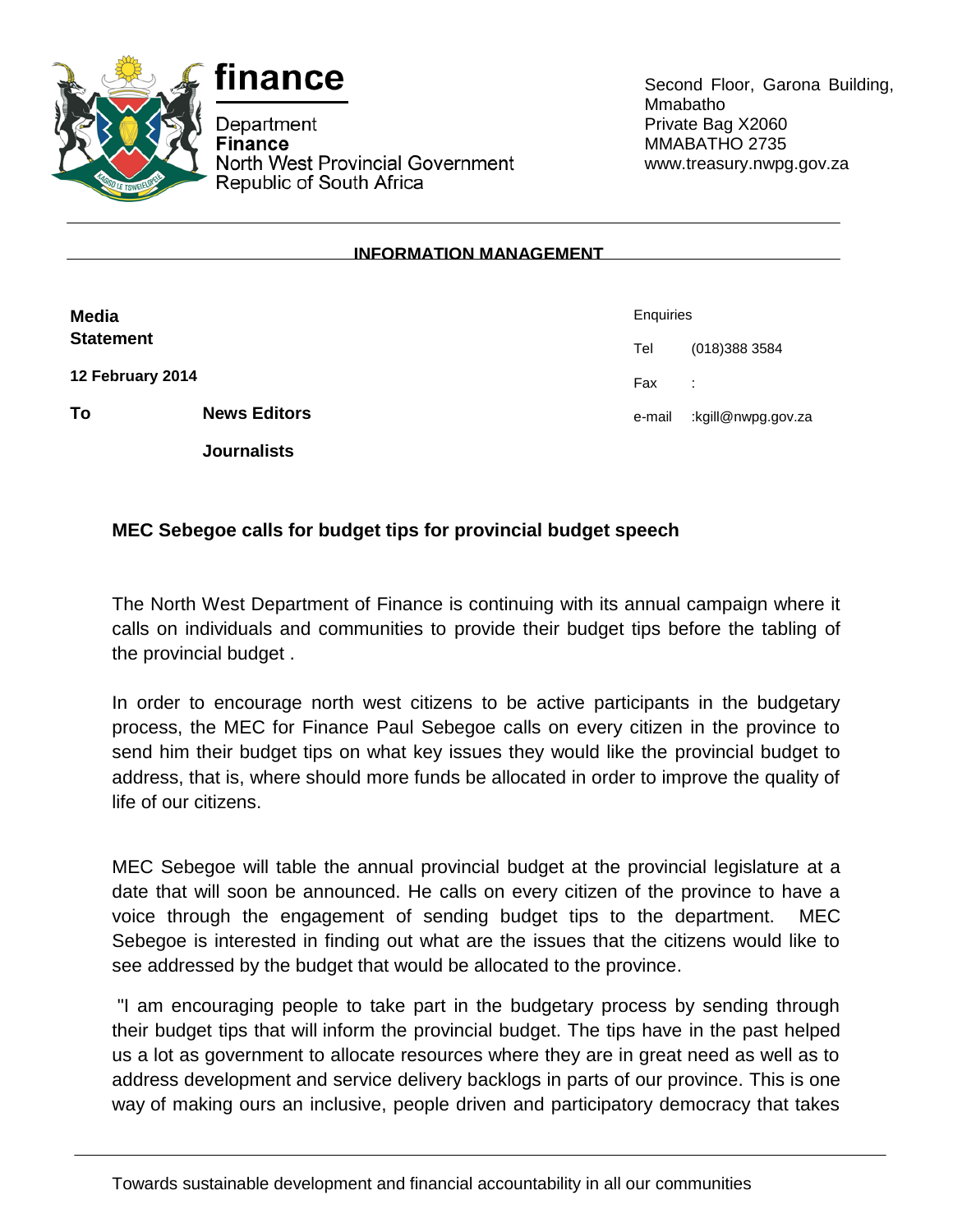



Department Finance North West Provincial Government Republic of South Africa

Second Floor, Garona Building, Mmabatho Private Bag X2060 MMABATHO 2735 www.treasury.nwpg.gov.za

## **INFORMATION MANAGEMENT**

| <b>Media</b>     |                     | Enquiries |                    |
|------------------|---------------------|-----------|--------------------|
| <b>Statement</b> |                     | Tel       | (018) 388 3584     |
| 12 February 2014 |                     | Fax       | ÷                  |
| To               | <b>News Editors</b> | e-mail    | kgill@nwpg.gov.za: |
|                  | <b>Journalists</b>  |           |                    |

## **MEC Sebegoe calls for budget tips for provincial budget speech**

The North West Department of Finance is continuing with its annual campaign where it calls on individuals and communities to provide their budget tips before the tabling of the provincial budget .

In order to encourage north west citizens to be active participants in the budgetary process, the MEC for Finance Paul Sebegoe calls on every citizen in the province to send him their budget tips on what key issues they would like the provincial budget to address, that is, where should more funds be allocated in order to improve the quality of life of our citizens.

MEC Sebegoe will table the annual provincial budget at the provincial legislature at a date that will soon be announced. He calls on every citizen of the province to have a voice through the engagement of sending budget tips to the department. MEC Sebegoe is interested in finding out what are the issues that the citizens would like to see addressed by the budget that would be allocated to the province.

"I am encouraging people to take part in the budgetary process by sending through their budget tips that will inform the provincial budget. The tips have in the past helped us a lot as government to allocate resources where they are in great need as well as to address development and service delivery backlogs in parts of our province. This is one way of making ours an inclusive, people driven and participatory democracy that takes